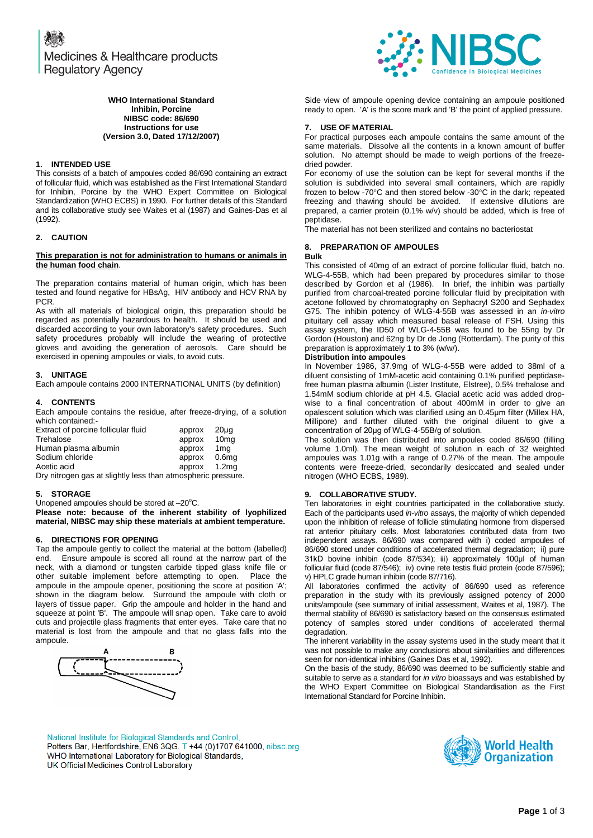**1. INTENDED USE** 

(1992).

PCR.

**2. CAUTION**

**3. UNITAGE**

**4. CONTENTS**

which contained:-

**5. STORAGE**

**the human food chain**.

**WHO International Standard Inhibin, Porcine NIBSC code: 86/690 Instructions for use (Version 3.0, Dated 17/12/2007)**

This consists of a batch of ampoules coded 86/690 containing an extract of follicular fluid, which was established as the First International Standard for Inhibin, Porcine by the WHO Expert Committee on Biological Standardization (WHO ECBS) in 1990. For further details of this Standard and its collaborative study see Waites et al (1987) and Gaines-Das et al

**This preparation is not for administration to humans or animals in** 

The preparation contains material of human origin, which has been tested and found negative for HBsAg, HIV antibody and HCV RNA by

As with all materials of biological origin, this preparation should be regarded as potentially hazardous to health. It should be used and discarded according to your own laboratory's safety procedures. Such safety procedures probably will include the wearing of protective gloves and avoiding the generation of aerosols. Care should be

Each ampoule contains 2000 INTERNATIONAL UNITS (by definition)

Each ampoule contains the residue, after freeze-drying, of a solution

exercised in opening ampoules or vials, to avoid cuts.



# Side view of ampoule opening device containing an ampoule positioned ready to open. 'A' is the score mark and 'B' the point of applied pressure.

# **7. USE OF MATERIAL**

For practical purposes each ampoule contains the same amount of the same materials. Dissolve all the contents in a known amount of buffer solution. No attempt should be made to weigh portions of the freezedried powder.

For economy of use the solution can be kept for several months if the solution is subdivided into several small containers, which are rapidly frozen to below -70°C and then stored below -30°C in the dark; repeated freezing and thawing should be avoided. If extensive dilutions are prepared, a carrier protein (0.1% w/v) should be added, which is free of peptidase.

The material has not been sterilized and contains no bacteriostat

# **8. PREPARATION OF AMPOULES**

#### **Bulk**

This consisted of 40mg of an extract of porcine follicular fluid, batch no. WLG-4-55B, which had been prepared by procedures similar to those described by Gordon et al (1986). In brief, the inhibin was partially purified from charcoal-treated porcine follicular fluid by precipitation with acetone followed by chromatography on Sephacryl S200 and Sephadex G75. The inhibin potency of WLG-4-55B was assessed in an *in-vitro* pituitary cell assay which measured basal release of FSH. Using this assay system, the ID50 of WLG-4-55B was found to be 55ng by Dr Gordon (Houston) and 62ng by Dr de Jong (Rotterdam). The purity of this preparation is approximately 1 to 3% (w/w/).

# **Distribution into ampoules**

In November 1986, 37.9mg of WLG-4-55B were added to 38ml of a diluent consisting of 1mM-acetic acid containing 0.1% purified peptidasefree human plasma albumin (Lister Institute, Elstree), 0.5% trehalose and 1.54mM sodium chloride at pH 4.5. Glacial acetic acid was added dropwise to a final concentration of about 400mM in order to give an opalescent solution which was clarified using an 0.45μm filter (Millex HA, Millipore) and further diluted with the original diluent to give a concentration of 20μg of WLG-4-55B/g of solution.

The solution was then distributed into ampoules coded 86/690 (filling volume 1.0ml). The mean weight of solution in each of 32 weighted ampoules was 1.01g with a range of 0.27% of the mean. The ampoule contents were freeze-dried, secondarily desiccated and sealed under

# **9. COLLABORATIVE STUDY.**

Ten laboratories in eight countries participated in the collaborative study. Each of the participants used *in-vitro* assays, the majority of which depended upon the inhibition of release of follicle stimulating hormone from dispersed rat anterior pituitary cells. Most laboratories contributed data from two independent assays. 86/690 was compared with i) coded ampoules of 86/690 stored under conditions of accelerated thermal degradation; ii) pure 31kD bovine inhibin (code 87/534); iii) approximately 100μl of human follicular fluid (code 87/546); iv) ovine rete testis fluid protein (code 87/596); v) HPLC grade human inhibin (code 87/716).

All laboratories confirmed the activity of 86/690 used as reference preparation in the study with its previously assigned potency of 2000 units/ampoule (see summary of initial assessment, Waites et al, 1987). The thermal stability of 86/690 is satisfactory based on the consensus estimated potency of samples stored under conditions of accelerated thermal degradation.

The inherent variability in the assay systems used in the study meant that it was not possible to make any conclusions about similarities and differences seen for non-identical inhibins (Gaines Das et al, 1992).

On the basis of the study, 86/690 was deemed to be sufficiently stable and suitable to serve as a standard for *in vitro* bioassays and was established by the WHO Expert Committee on Biological Standardisation as the First International Standard for Porcine Inhibin.

National Institute for Biological Standards and Control, Potters Bar, Hertfordshire, EN6 3QG. T +44 (0)1707 641000, nibsc.org WHO International Laboratory for Biological Standards, UK Official Medicines Control Laboratory



Extract of porcine follicular fluid approx 20µg<br>Trehalose approx 10mg Trehalose approx Human plasma albumin approx 1mg Sodium chloride approx 0.6mg Acetic acid approx 1.2mg Dry nitrogen gas at slightly less than atmospheric pressure. nitrogen (WHO ECBS, 1989).

Unopened ampoules should be stored at  $-20^{\circ}$ C. **Please note: because of the inherent stability of lyophilized material, NIBSC may ship these materials at ambient temperature.**

# **6. DIRECTIONS FOR OPENING**

Tap the ampoule gently to collect the material at the bottom (labelled) end. Ensure ampoule is scored all round at the narrow part of the neck, with a diamond or tungsten carbide tipped glass knife file or other suitable implement before attempting to open. Place the other suitable implement before attempting to open. ampoule in the ampoule opener, positioning the score at position 'A'; shown in the diagram below. Surround the ampoule with cloth or layers of tissue paper. Grip the ampoule and holder in the hand and squeeze at point 'B'. The ampoule will snap open. Take care to avoid cuts and projectile glass fragments that enter eyes. Take care that no material is lost from the ampoule and that no glass falls into the ampoule.

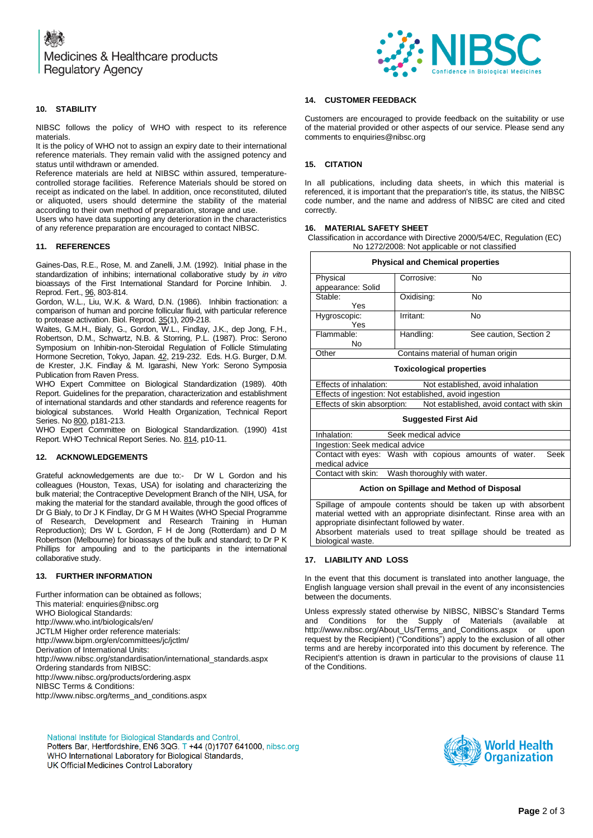

# **10. STABILITY**

NIBSC follows the policy of WHO with respect to its reference materials.

It is the policy of WHO not to assign an expiry date to their international reference materials. They remain valid with the assigned potency and status until withdrawn or amended.

Reference materials are held at NIBSC within assured, temperaturecontrolled storage facilities. Reference Materials should be stored on receipt as indicated on the label. In addition, once reconstituted, diluted or aliquoted, users should determine the stability of the material according to their own method of preparation, storage and use.

Users who have data supporting any deterioration in the characteristics of any reference preparation are encouraged to contact NIBSC.

# **11. REFERENCES**

Gaines-Das, R.E., Rose, M. and Zanelli, J.M. (1992). Initial phase in the standardization of inhibins; international collaborative study by *in vitro* bioassays of the First International Standard for Porcine Inhibin. J. Reprod. Fert., 96, 803-814.

Gordon, W.L., Liu, W.K. & Ward, D.N. (1986). Inhibin fractionation: a comparison of human and porcine follicular fluid, with particular reference to protease activation. Biol. Reprod. 35(1), 209-218.

Waites, G.M.H., Bialy, G., Gordon, W.L., Findlay, J.K., dep Jong, F.H., Robertson, D.M., Schwartz, N.B. & Storring, P.L. (1987). Proc: Serono Symposium on Inhibin-non-Steroidal Regulation of Follicle Stimulating Hormone Secretion, Tokyo, Japan. 42, 219-232. Eds. H.G. Burger, D.M. de Krester, J.K. Findlay & M. Igarashi, New York: Serono Symposia Publication from Raven Press.

WHO Expert Committee on Biological Standardization (1989). 40th Report. Guidelines for the preparation, characterization and establishment of international standards and other standards and reference reagents for biological substances. World Health Organization, Technical Report Series. No 800, p181-213.

WHO Expert Committee on Biological Standardization. (1990) 41st Report. WHO Technical Report Series. No. 814, p10-11.

#### **12. ACKNOWLEDGEMENTS**

Grateful acknowledgements are due to:- Dr W L Gordon and his colleagues (Houston, Texas, USA) for isolating and characterizing the bulk material; the Contraceptive Development Branch of the NIH, USA, for making the material for the standard available, through the good offices of Dr G Bialy, to Dr J K Findlay, Dr G M H Waites (WHO Special Programme of Research, Development and Research Training in Human Reproduction); Drs W L Gordon, F H de Jong (Rotterdam) and D M Robertson (Melbourne) for bioassays of the bulk and standard; to Dr P K Phillips for ampouling and to the participants in the international collaborative study.

#### **13. FURTHER INFORMATION**

Further information can be obtained as follows; This material[: enquiries@nibsc.org](mailto:enquiries@nibsc.org) WHO Biological Standards: <http://www.who.int/biologicals/en/> JCTLM Higher order reference materials: <http://www.bipm.org/en/committees/jc/jctlm/> Derivation of International Units: [http://www.nibsc.org/standardisation/international\\_standards.aspx](http://www.nibsc.org/standardisation/international_standards.aspx) Ordering standards from NIBSC: <http://www.nibsc.org/products/ordering.aspx> NIBSC Terms & Conditions: [http://www.nibsc.org/terms\\_and\\_conditions.aspx](http://www.nibsc.ac.uk/terms_and_conditions.aspx)

# **14. CUSTOMER FEEDBACK**

Customers are encouraged to provide feedback on the suitability or use of the material provided or other aspects of our service. Please send any comments t[o enquiries@nibsc.org](mailto:enquiries@nibsc.org)

### **15. CITATION**

In all publications, including data sheets, in which this material is referenced, it is important that the preparation's title, its status, the NIBSC code number, and the name and address of NIBSC are cited and cited correctly.

#### **16. MATERIAL SAFETY SHEET**

Classification in accordance with Directive 2000/54/EC, Regulation (EC) No 1272/2008: Not applicable or not classified

| <b>Physical and Chemical properties</b>                |                                   |                                          |  |
|--------------------------------------------------------|-----------------------------------|------------------------------------------|--|
| Physical                                               | Corrosive:                        | No                                       |  |
| appearance: Solid                                      |                                   |                                          |  |
| Stable:                                                | Oxidising:                        | No                                       |  |
| Yes                                                    |                                   |                                          |  |
| Hygroscopic:                                           | Irritant:                         | No                                       |  |
| Yes                                                    |                                   |                                          |  |
| Flammable:                                             | Handling:                         | See caution, Section 2                   |  |
| No                                                     |                                   |                                          |  |
| Other                                                  | Contains material of human origin |                                          |  |
| <b>Toxicological properties</b>                        |                                   |                                          |  |
| Effects of inhalation:                                 |                                   | Not established, avoid inhalation        |  |
| Effects of ingestion: Not established, avoid ingestion |                                   |                                          |  |
| Effects of skin absorption:                            |                                   | Not established, avoid contact with skin |  |
| <b>Suggested First Aid</b>                             |                                   |                                          |  |
| Inhalation:<br>Seek medical advice                     |                                   |                                          |  |
| Ingestion: Seek medical advice                         |                                   |                                          |  |

# Contact with eyes: Wash with copious amounts of water. Seek medical advice

Contact with skin: Wash thoroughly with water.

#### **Action on Spillage and Method of Disposal**

Spillage of ampoule contents should be taken up with absorbent material wetted with an appropriate disinfectant. Rinse area with an appropriate disinfectant followed by water.

Absorbent materials used to treat spillage should be treated as biological waste.

# **17. LIABILITY AND LOSS**

In the event that this document is translated into another language, the English language version shall prevail in the event of any inconsistencies between the documents.

Unless expressly stated otherwise by NIBSC, NIBSC's Standard Terms and Conditions for the Supply of Materials (available at [http://www.nibsc.org/About\\_Us/Terms\\_and\\_Conditions.aspx](http://www.nibsc.org/About_Us/Terms_and_Conditions.aspx) or upon request by the Recipient) ("Conditions") apply to the exclusion of all other terms and are hereby incorporated into this document by reference. The Recipient's attention is drawn in particular to the provisions of clause 11 of the Conditions.

National Institute for Biological Standards and Control, Potters Bar, Hertfordshire, EN6 3QG. T +44 (0)1707 641000, nibsc.org WHO International Laboratory for Biological Standards, UK Official Medicines Control Laboratory